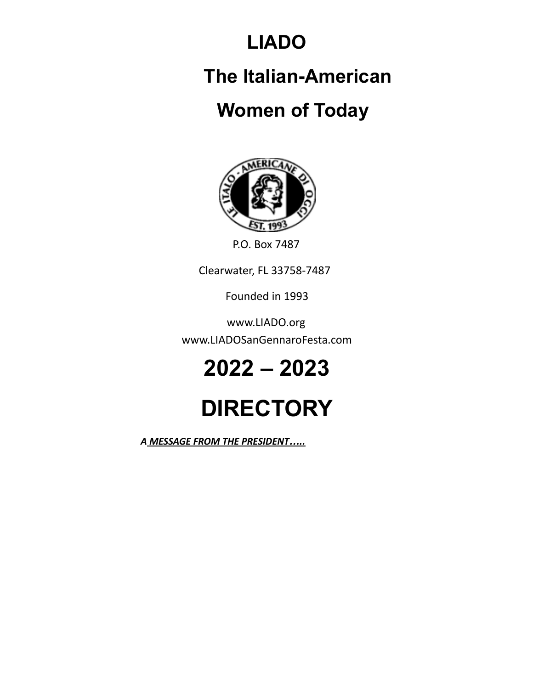### **LIADO**

## **The Italian-American**

### **Women of Today**



P.O. Box 7487

Clearwater, FL 33758-7487

Founded in 1993

www.LIADO.org www.LIADOSanGennaroFesta.com

# **2022 – 2023**

# **DIRECTORY**

*A MESSAGE FROM THE PRESIDENT…..*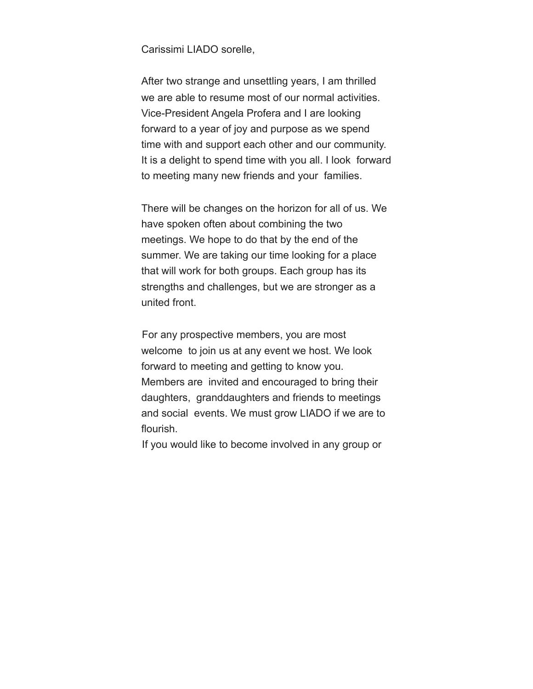Carissimi LIADO sorelle,

After two strange and unsettling years, I am thrilled we are able to resume most of our normal activities. Vice-President Angela Profera and I are looking forward to a year of joy and purpose as we spend time with and support each other and our community. It is a delight to spend time with you all. I look forward to meeting many new friends and your families.

There will be changes on the horizon for all of us. We have spoken often about combining the two meetings. We hope to do that by the end of the summer. We are taking our time looking for a place that will work for both groups. Each group has its strengths and challenges, but we are stronger as a united front.

For any prospective members, you are most welcome to join us at any event we host. We look forward to meeting and getting to know you. Members are invited and encouraged to bring their daughters, granddaughters and friends to meetings and social events. We must grow LIADO if we are to flourish.

If you would like to become involved in any group or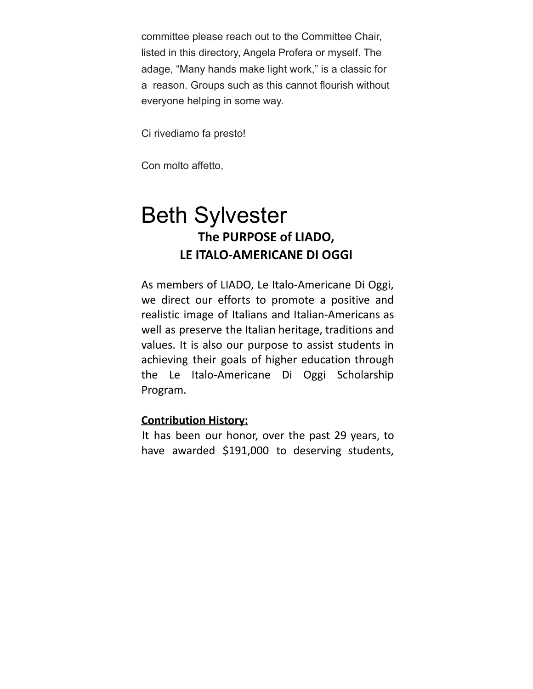committee please reach out to the Committee Chair, listed in this directory, Angela Profera or myself. The adage, "Many hands make light work," is a classic for a reason. Groups such as this cannot flourish without everyone helping in some way.

Ci rivediamo fa presto!

Con molto affetto,

### Beth Sylvester **The PURPOSE of LIADO, LE ITALO-AMERICANE DI OGGI**

As members of LIADO, Le Italo-Americane Di Oggi, we direct our efforts to promote a positive and realistic image of Italians and Italian-Americans as well as preserve the Italian heritage, traditions and values. It is also our purpose to assist students in achieving their goals of higher education through the Le Italo-Americane Di Oggi Scholarship Program.

#### **Contribution History:**

It has been our honor, over the past 29 years, to have awarded \$191,000 to deserving students,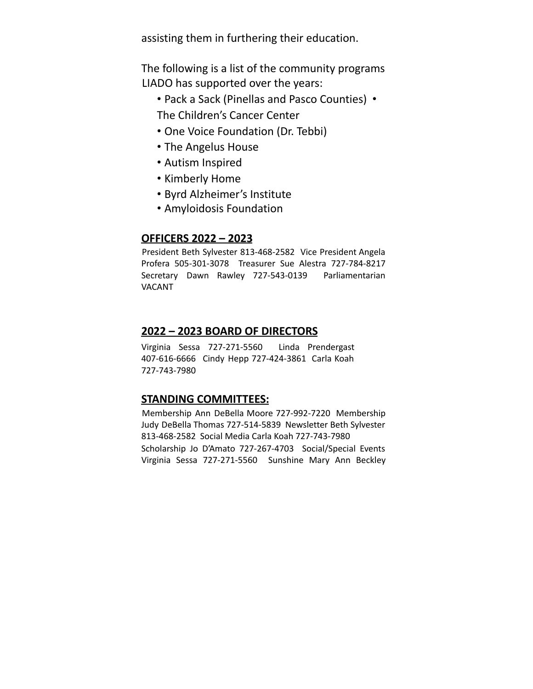assisting them in furthering their education.

The following is a list of the community programs LIADO has supported over the years:

- Pack a Sack (Pinellas and Pasco Counties) The Children's Cancer Center
- One Voice Foundation (Dr. Tebbi)
- The Angelus House
- Autism Inspired
- Kimberly Home
- Byrd Alzheimer's Institute
- Amyloidosis Foundation

#### **OFFICERS 2022 – 2023**

President Beth Sylvester 813-468-2582 Vice President Angela Profera 505-301-3078 Treasurer Sue Alestra 727-784-8217 Secretary Dawn Rawley 727-543-0139 Parliamentarian VACANT

#### **2022 – 2023 BOARD OF DIRECTORS**

Virginia Sessa 727-271-5560 Linda Prendergast 407-616-6666 Cindy Hepp 727-424-3861 Carla Koah 727-743-7980

#### **STANDING COMMITTEES:**

Membership Ann DeBella Moore 727-992-7220 Membership Judy DeBella Thomas 727-514-5839 Newsletter Beth Sylvester 813-468-2582 Social Media Carla Koah 727-743-7980 Scholarship Jo D'Amato 727-267-4703 Social/Special Events Virginia Sessa 727-271-5560 Sunshine Mary Ann Beckley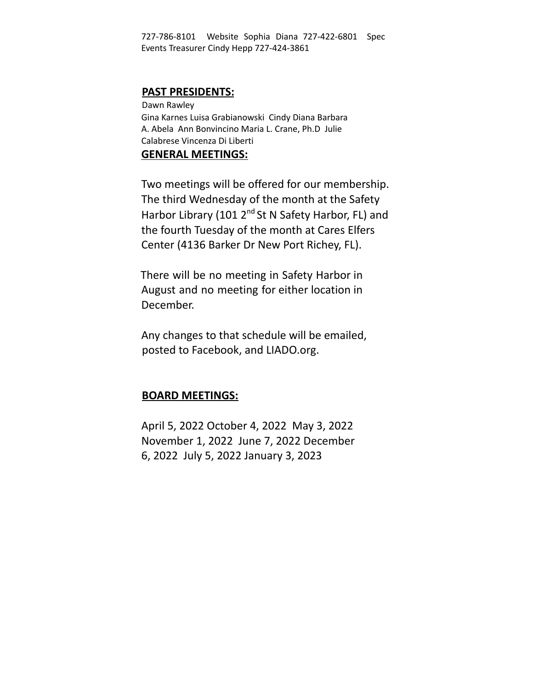727-786-8101 Website Sophia Diana 727-422-6801 Spec Events Treasurer Cindy Hepp 727-424-3861

#### **PAST PRESIDENTS:**

Dawn Rawley Gina Karnes Luisa Grabianowski Cindy Diana Barbara A. Abela Ann Bonvincino Maria L. Crane, Ph.D Julie Calabrese Vincenza Di Liberti

#### **GENERAL MEETINGS:**

Two meetings will be offered for our membership. The third Wednesday of the month at the Safety Harbor Library (101 2<sup>nd</sup> St N Safety Harbor, FL) and the fourth Tuesday of the month at Cares Elfers Center (4136 Barker Dr New Port Richey, FL).

There will be no meeting in Safety Harbor in August and no meeting for either location in December.

Any changes to that schedule will be emailed, posted to Facebook, and LIADO.org.

#### **BOARD MEETINGS:**

April 5, 2022 October 4, 2022 May 3, 2022 November 1, 2022 June 7, 2022 December 6, 2022 July 5, 2022 January 3, 2023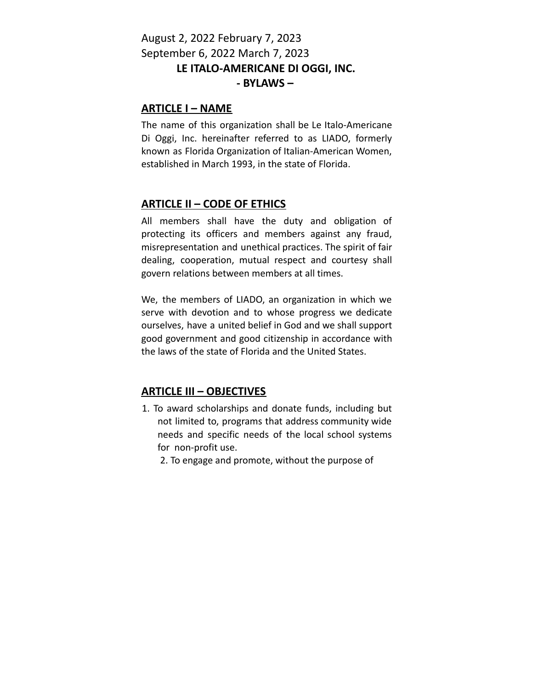#### August 2, 2022 February 7, 2023 September 6, 2022 March 7, 2023 **LE ITALO-AMERICANE DI OGGI, INC. - BYLAWS –**

#### **ARTICLE I – NAME**

The name of this organization shall be Le Italo-Americane Di Oggi, Inc. hereinafter referred to as LIADO, formerly known as Florida Organization of Italian-American Women, established in March 1993, in the state of Florida.

#### **ARTICLE II – CODE OF ETHICS**

All members shall have the duty and obligation of protecting its officers and members against any fraud, misrepresentation and unethical practices. The spirit of fair dealing, cooperation, mutual respect and courtesy shall govern relations between members at all times.

We, the members of LIADO, an organization in which we serve with devotion and to whose progress we dedicate ourselves, have a united belief in God and we shall support good government and good citizenship in accordance with the laws of the state of Florida and the United States.

#### **ARTICLE III – OBJECTIVES**

- 1. To award scholarships and donate funds, including but not limited to, programs that address community wide needs and specific needs of the local school systems for non-profit use.
	- 2. To engage and promote, without the purpose of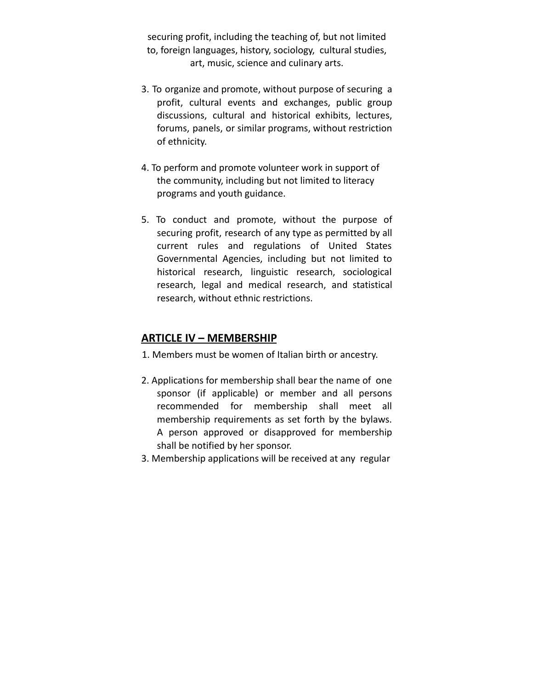securing profit, including the teaching of, but not limited to, foreign languages, history, sociology, cultural studies, art, music, science and culinary arts.

- 3. To organize and promote, without purpose of securing a profit, cultural events and exchanges, public group discussions, cultural and historical exhibits, lectures, forums, panels, or similar programs, without restriction of ethnicity.
- 4. To perform and promote volunteer work in support of the community, including but not limited to literacy programs and youth guidance.
- 5. To conduct and promote, without the purpose of securing profit, research of any type as permitted by all current rules and regulations of United States Governmental Agencies, including but not limited to historical research, linguistic research, sociological research, legal and medical research, and statistical research, without ethnic restrictions.

#### **ARTICLE IV – MEMBERSHIP**

- 1. Members must be women of Italian birth or ancestry.
- 2. Applications for membership shall bear the name of one sponsor (if applicable) or member and all persons recommended for membership shall meet all membership requirements as set forth by the bylaws. A person approved or disapproved for membership shall be notified by her sponsor.
- 3. Membership applications will be received at any regular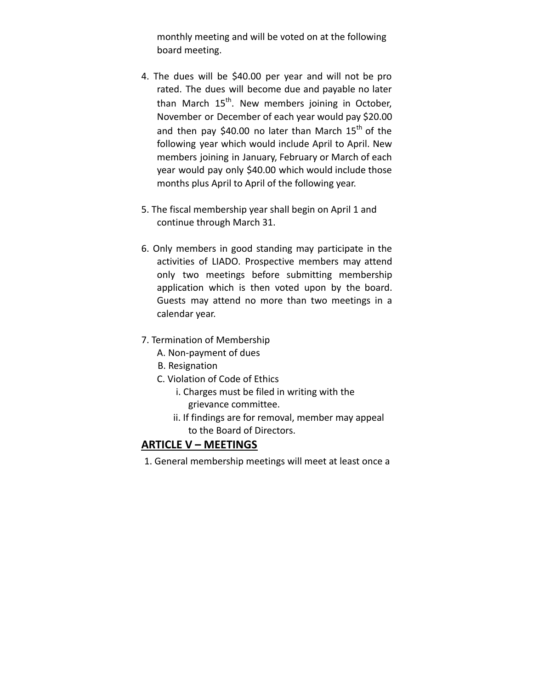monthly meeting and will be voted on at the following board meeting.

- 4. The dues will be \$40.00 per year and will not be pro rated. The dues will become due and payable no later than March 15<sup>th</sup>. New members joining in October, November or December of each year would pay \$20.00 and then pay \$40.00 no later than March  $15^{\text{th}}$  of the following year which would include April to April. New members joining in January, February or March of each year would pay only \$40.00 which would include those months plus April to April of the following year.
- 5. The fiscal membership year shall begin on April 1 and continue through March 31.
- 6. Only members in good standing may participate in the activities of LIADO. Prospective members may attend only two meetings before submitting membership application which is then voted upon by the board. Guests may attend no more than two meetings in a calendar year.
- 7. Termination of Membership
	- A. Non-payment of dues
	- B. Resignation
	- C. Violation of Code of Ethics
		- i. Charges must be filed in writing with the grievance committee.
		- ii. If findings are for removal, member may appeal to the Board of Directors.

#### **ARTICLE V – MEETINGS**

1. General membership meetings will meet at least once a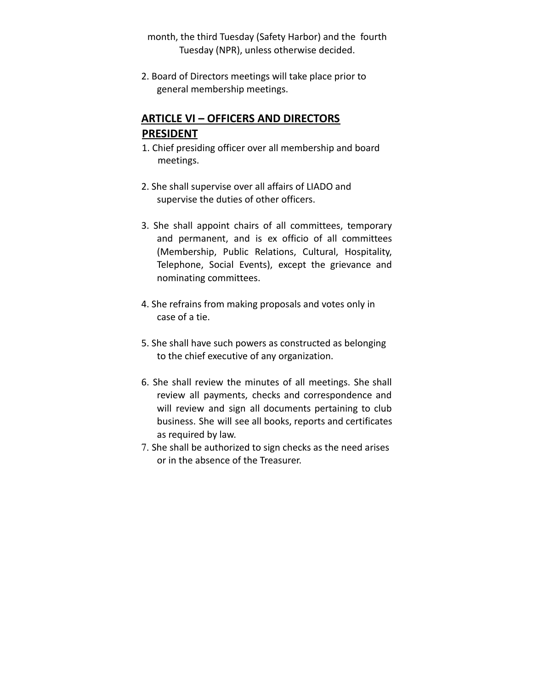month, the third Tuesday (Safety Harbor) and the fourth Tuesday (NPR), unless otherwise decided.

2. Board of Directors meetings will take place prior to general membership meetings.

#### **ARTICLE VI – OFFICERS AND DIRECTORS PRESIDENT**

- 1. Chief presiding officer over all membership and board meetings.
- 2. She shall supervise over all affairs of LIADO and supervise the duties of other officers.
- 3. She shall appoint chairs of all committees, temporary and permanent, and is ex officio of all committees (Membership, Public Relations, Cultural, Hospitality, Telephone, Social Events), except the grievance and nominating committees.
- 4. She refrains from making proposals and votes only in case of a tie.
- 5. She shall have such powers as constructed as belonging to the chief executive of any organization.
- 6. She shall review the minutes of all meetings. She shall review all payments, checks and correspondence and will review and sign all documents pertaining to club business. She will see all books, reports and certificates as required by law.
- 7. She shall be authorized to sign checks as the need arises or in the absence of the Treasurer.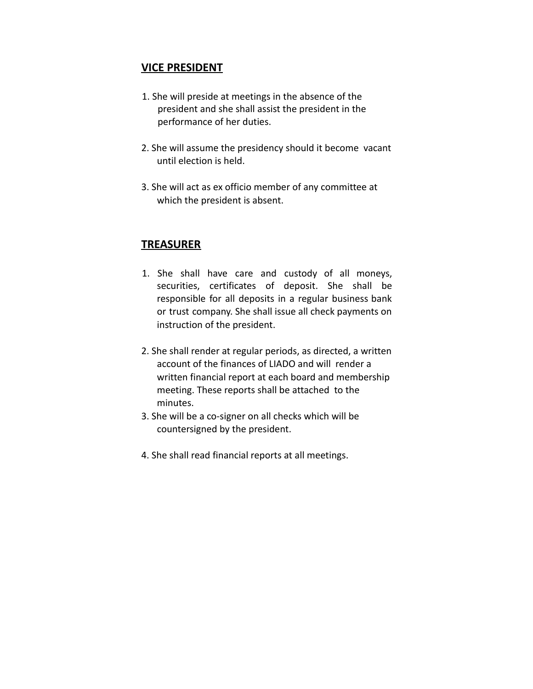#### **VICE PRESIDENT**

- 1. She will preside at meetings in the absence of the president and she shall assist the president in the performance of her duties.
- 2. She will assume the presidency should it become vacant until election is held.
- 3. She will act as ex officio member of any committee at which the president is absent.

#### **TREASURER**

- 1. She shall have care and custody of all moneys, securities, certificates of deposit. She shall be responsible for all deposits in a regular business bank or trust company. She shall issue all check payments on instruction of the president.
- 2. She shall render at regular periods, as directed, a written account of the finances of LIADO and will render a written financial report at each board and membership meeting. These reports shall be attached to the minutes.
- 3. She will be a co-signer on all checks which will be countersigned by the president.
- 4. She shall read financial reports at all meetings.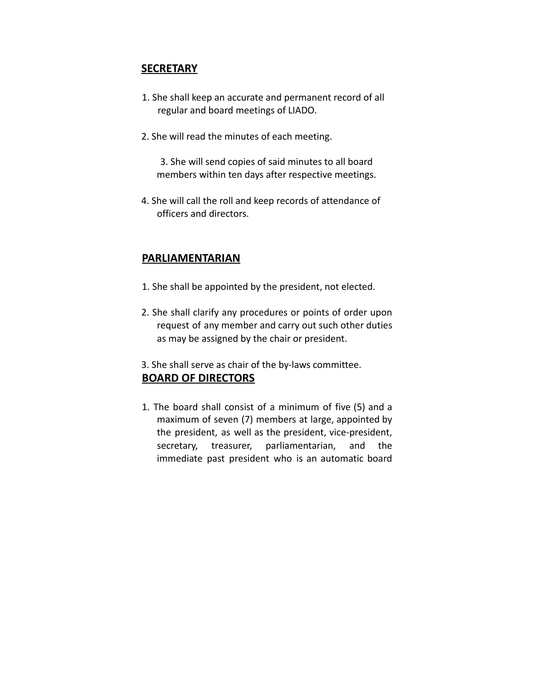#### **SECRETARY**

- 1. She shall keep an accurate and permanent record of all regular and board meetings of LIADO.
- 2. She will read the minutes of each meeting.

3. She will send copies of said minutes to all board members within ten days after respective meetings.

4. She will call the roll and keep records of attendance of officers and directors.

#### **PARLIAMENTARIAN**

- 1. She shall be appointed by the president, not elected.
- 2. She shall clarify any procedures or points of order upon request of any member and carry out such other duties as may be assigned by the chair or president.
- 3. She shall serve as chair of the by-laws committee.

#### **BOARD OF DIRECTORS**

1. The board shall consist of a minimum of five (5) and a maximum of seven (7) members at large, appointed by the president, as well as the president, vice-president, secretary, treasurer, parliamentarian, and the immediate past president who is an automatic board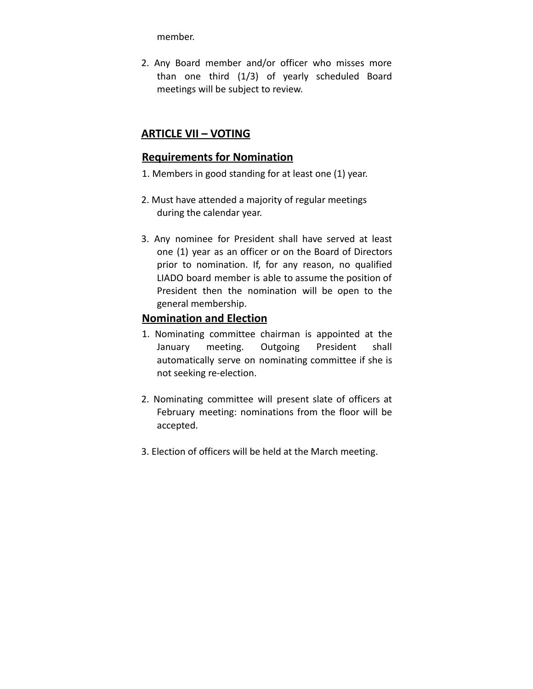member.

2. Any Board member and/or officer who misses more than one third (1/3) of yearly scheduled Board meetings will be subject to review.

#### **ARTICLE VII – VOTING**

#### **Requirements for Nomination**

- 1. Members in good standing for at least one (1) year.
- 2. Must have attended a majority of regular meetings during the calendar year.
- 3. Any nominee for President shall have served at least one (1) year as an officer or on the Board of Directors prior to nomination. If, for any reason, no qualified LIADO board member is able to assume the position of President then the nomination will be open to the general membership.

#### **Nomination and Election**

- 1. Nominating committee chairman is appointed at the January meeting. Outgoing President shall automatically serve on nominating committee if she is not seeking re-election.
- 2. Nominating committee will present slate of officers at February meeting: nominations from the floor will be accepted.
- 3. Election of officers will be held at the March meeting.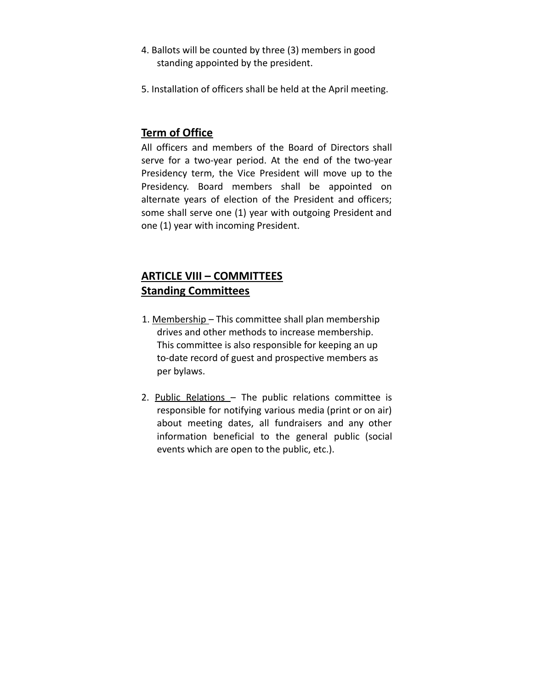- 4. Ballots will be counted by three (3) members in good standing appointed by the president.
- 5. Installation of officers shall be held at the April meeting.

#### **Term of Office**

All officers and members of the Board of Directors shall serve for a two-year period. At the end of the two-year Presidency term, the Vice President will move up to the Presidency. Board members shall be appointed on alternate years of election of the President and officers; some shall serve one (1) year with outgoing President and one (1) year with incoming President.

#### **ARTICLE VIII – COMMITTEES Standing Committees**

- 1. Membership This committee shall plan membership drives and other methods to increase membership. This committee is also responsible for keeping an up to-date record of guest and prospective members as per bylaws.
- 2. Public Relations The public relations committee is responsible for notifying various media (print or on air) about meeting dates, all fundraisers and any other information beneficial to the general public (social events which are open to the public, etc.).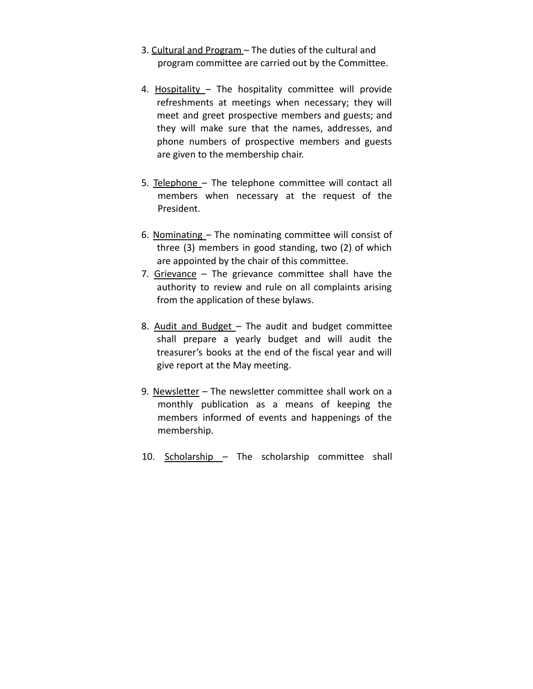- 3. Cultural and Program The duties of the cultural and program committee are carried out by the Committee.
- 4. Hospitality The hospitality committee will provide refreshments at meetings when necessary; they will meet and greet prospective members and guests; and they will make sure that the names, addresses, and phone numbers of prospective members and guests are given to the membership chair.
- 5. Telephone The telephone committee will contact all members when necessary at the request of the President.
- 6. Nominating The nominating committee will consist of three (3) members in good standing, two (2) of which are appointed by the chair of this committee.
- 7. Grievance The grievance committee shall have the authority to review and rule on all complaints arising from the application of these bylaws.
- 8. Audit and Budget The audit and budget committee shall prepare a yearly budget and will audit the treasurer's books at the end of the fiscal year and will give report at the May meeting.
- 9. Newsletter The newsletter committee shall work on a monthly publication as a means of keeping the members informed of events and happenings of the membership.
- 10. Scholarship The scholarship committee shall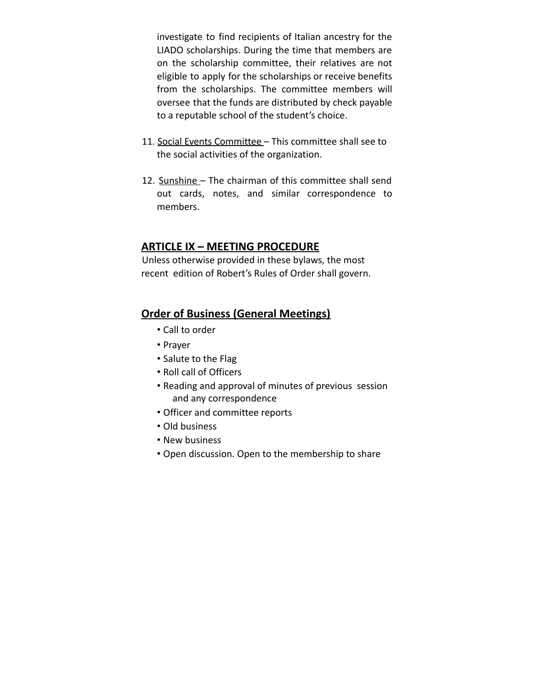investigate to find recipients of Italian ancestry for the LIADO scholarships. During the time that members are on the scholarship committee, their relatives are not eligible to apply for the scholarships or receive benefits from the scholarships. The committee members will oversee that the funds are distributed by check payable to a reputable school of the student's choice.

- 11. Social Events Committee This committee shall see to the social activities of the organization.
- 12. Sunshine The chairman of this committee shall send out cards, notes, and similar correspondence to members.

#### **ARTICLE IX – MEETING PROCEDURE**

Unless otherwise provided in these bylaws, the most recent edition of Robert's Rules of Order shall govern.

#### **Order of Business (General Meetings)**

- Call to order
- Prayer
- Salute to the Flag
- Roll call of Officers
- Reading and approval of minutes of previous session and any correspondence
- Officer and committee reports
- Old business
- New business
- Open discussion. Open to the membership to share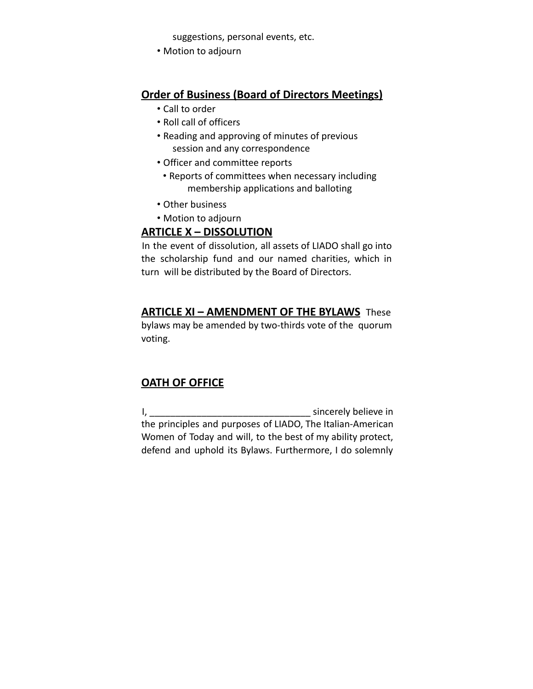suggestions, personal events, etc.

• Motion to adjourn

#### **Order of Business (Board of Directors Meetings)**

- Call to order
- Roll call of officers
- Reading and approving of minutes of previous session and any correspondence
- Officer and committee reports
	- Reports of committees when necessary including membership applications and balloting
- Other business
- Motion to adjourn

#### **ARTICLE X – DISSOLUTION**

In the event of dissolution, all assets of LIADO shall go into the scholarship fund and our named charities, which in turn will be distributed by the Board of Directors.

#### **ARTICLE XI – AMENDMENT OF THE BYLAWS** These

bylaws may be amended by two-thirds vote of the quorum voting.

#### **OATH OF OFFICE**

I, \_\_\_\_\_\_\_\_\_\_\_\_\_\_\_\_\_\_\_\_\_\_\_\_\_\_\_\_\_\_\_ sincerely believe in the principles and purposes of LIADO, The Italian-American Women of Today and will, to the best of my ability protect, defend and uphold its Bylaws. Furthermore, I do solemnly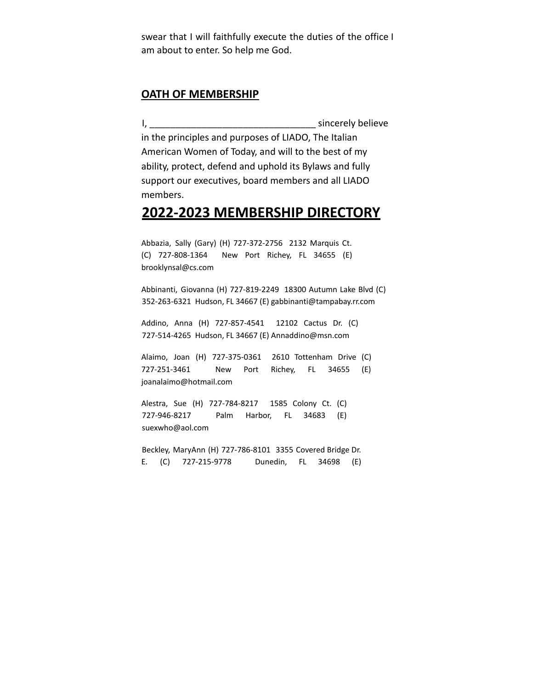swear that I will faithfully execute the duties of the office I am about to enter. So help me God.

#### **OATH OF MEMBERSHIP**

I, \_\_\_\_\_\_\_\_\_\_\_\_\_\_\_\_\_\_\_\_\_\_\_\_\_\_\_\_\_\_\_\_ sincerely believe in the principles and purposes of LIADO, The Italian American Women of Today, and will to the best of my ability, protect, defend and uphold its Bylaws and fully support our executives, board members and all LIADO members.

#### **2022-2023 MEMBERSHIP DIRECTORY**

Abbazia, Sally (Gary) (H) 727-372-2756 2132 Marquis Ct. (C) 727-808-1364 New Port Richey, FL 34655 (E) brooklynsal@cs.com

Abbinanti, Giovanna (H) 727-819-2249 18300 Autumn Lake Blvd (C) 352-263-6321 Hudson, FL 34667 (E) gabbinanti@tampabay.rr.com

Addino, Anna (H) 727-857-4541 12102 Cactus Dr. (C) 727-514-4265 Hudson, FL 34667 (E) Annaddino@msn.com

Alaimo, Joan (H) 727-375-0361 2610 Tottenham Drive (C) 727-251-3461 New Port Richey, FL 34655 (E) joanalaimo@hotmail.com

Alestra, Sue (H) 727-784-8217 1585 Colony Ct. (C) 727-946-8217 Palm Harbor, FL 34683 (E) suexwho@aol.com

Beckley, MaryAnn (H) 727-786-8101 3355 Covered Bridge Dr. E. (C) 727-215-9778 Dunedin, FL 34698 (E)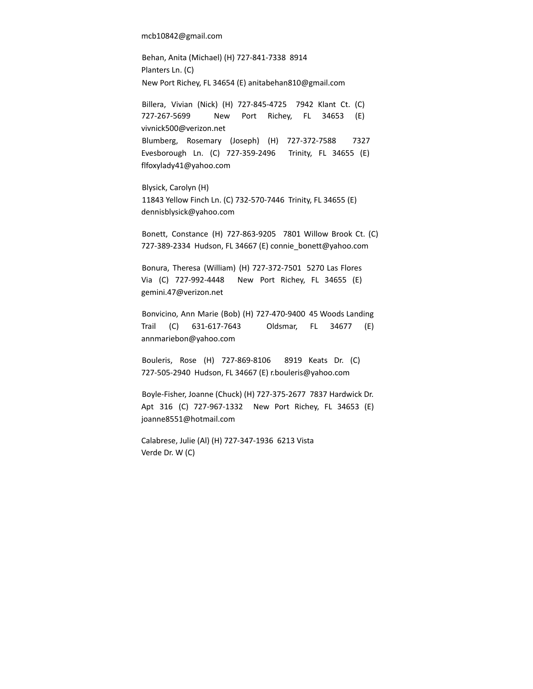mcb10842@gmail.com

Behan, Anita (Michael) (H) 727-841-7338 8914 Planters Ln. (C) New Port Richey, FL 34654 (E) anitabehan810@gmail.com

Billera, Vivian (Nick) (H) 727-845-4725 7942 Klant Ct. (C) 727-267-5699 New Port Richey, FL 34653 (E) vivnick500@verizon.net Blumberg, Rosemary (Joseph) (H) 727-372-7588 7327 Evesborough Ln. (C) 727-359-2496 Trinity, FL 34655 (E) flfoxylady41@yahoo.com

Blysick, Carolyn (H) 11843 Yellow Finch Ln. (C) 732-570-7446 Trinity, FL 34655 (E) dennisblysick@yahoo.com

Bonett, Constance (H) 727-863-9205 7801 Willow Brook Ct. (C) 727-389-2334 Hudson, FL 34667 (E) connie\_bonett@yahoo.com

Bonura, Theresa (William) (H) 727-372-7501 5270 Las Flores Via (C) 727-992-4448 New Port Richey, FL 34655 (E) gemini.47@verizon.net

Bonvicino, Ann Marie (Bob) (H) 727-470-9400 45 Woods Landing Trail (C) 631-617-7643 Oldsmar, FL 34677 (E) annmariebon@yahoo.com

Bouleris, Rose (H) 727-869-8106 8919 Keats Dr. (C) 727-505-2940 Hudson, FL 34667 (E) r.bouleris@yahoo.com

Boyle-Fisher, Joanne (Chuck) (H) 727-375-2677 7837 Hardwick Dr. Apt 316 (C) 727-967-1332 New Port Richey, FL 34653 (E) joanne8551@hotmail.com

Calabrese, Julie (Al) (H) 727-347-1936 6213 Vista Verde Dr. W (C)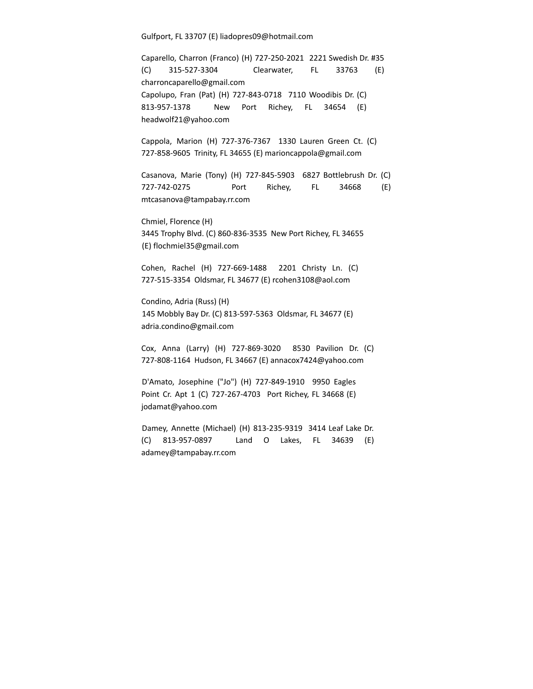Gulfport, FL 33707 (E) liadopres09@hotmail.com

Caparello, Charron (Franco) (H) 727-250-2021 2221 Swedish Dr. #35 (C) 315-527-3304 Clearwater, FL 33763 (E) charroncaparello@gmail.com Capolupo, Fran (Pat) (H) 727-843-0718 7110 Woodibis Dr. (C) 813-957-1378 New Port Richey, FL 34654 (E) headwolf21@yahoo.com

Cappola, Marion (H) 727-376-7367 1330 Lauren Green Ct. (C) 727-858-9605 Trinity, FL 34655 (E) marioncappola@gmail.com

Casanova, Marie (Tony) (H) 727-845-5903 6827 Bottlebrush Dr. (C) 727-742-0275 Port Richey, FL 34668 (E) mtcasanova@tampabay.rr.com

Chmiel, Florence (H) 3445 Trophy Blvd. (C) 860-836-3535 New Port Richey, FL 34655 (E) flochmiel35@gmail.com

Cohen, Rachel (H) 727-669-1488 2201 Christy Ln. (C) 727-515-3354 Oldsmar, FL 34677 (E) rcohen3108@aol.com

Condino, Adria (Russ) (H) 145 Mobbly Bay Dr. (C) 813-597-5363 Oldsmar, FL 34677 (E) adria.condino@gmail.com

Cox, Anna (Larry) (H) 727-869-3020 8530 Pavilion Dr. (C) 727-808-1164 Hudson, FL 34667 (E) annacox7424@yahoo.com

D'Amato, Josephine ("Jo") (H) 727-849-1910 9950 Eagles Point Cr. Apt 1 (C) 727-267-4703 Port Richey, FL 34668 (E) jodamat@yahoo.com

Damey, Annette (Michael) (H) 813-235-9319 3414 Leaf Lake Dr. (C) 813-957-0897 Land O Lakes, FL 34639 (E) adamey@tampabay.rr.com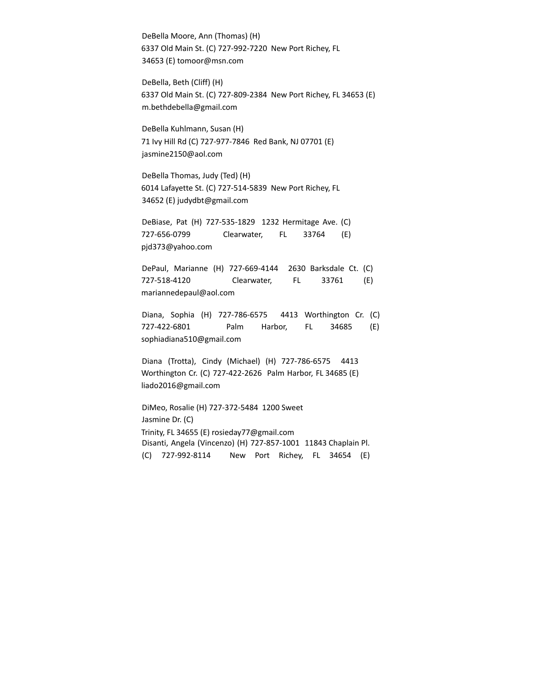DeBella Moore, Ann (Thomas) (H) 6337 Old Main St. (C) 727-992-7220 New Port Richey, FL 34653 (E) tomoor@msn.com

DeBella, Beth (Cliff) (H) 6337 Old Main St. (C) 727-809-2384 New Port Richey, FL 34653 (E) m.bethdebella@gmail.com

DeBella Kuhlmann, Susan (H) 71 Ivy Hill Rd (C) 727-977-7846 Red Bank, NJ 07701 (E) jasmine2150@aol.com

DeBella Thomas, Judy (Ted) (H) 6014 Lafayette St. (C) 727-514-5839 New Port Richey, FL 34652 (E) judydbt@gmail.com

DeBiase, Pat (H) 727-535-1829 1232 Hermitage Ave. (C) 727-656-0799 Clearwater, FL 33764 (E) pjd373@yahoo.com

DePaul, Marianne (H) 727-669-4144 2630 Barksdale Ct. (C) 727-518-4120 Clearwater, FL 33761 (E) mariannedepaul@aol.com

Diana, Sophia (H) 727-786-6575 4413 Worthington Cr. (C) 727-422-6801 Palm Harbor, FL 34685 (E) sophiadiana510@gmail.com

Diana (Trotta), Cindy (Michael) (H) 727-786-6575 4413 Worthington Cr. (C) 727-422-2626 Palm Harbor, FL 34685 (E) liado2016@gmail.com

DiMeo, Rosalie (H) 727-372-5484 1200 Sweet Jasmine Dr. (C) Trinity, FL 34655 (E) rosieday77@gmail.com Disanti, Angela (Vincenzo) (H) 727-857-1001 11843 Chaplain Pl. (C) 727-992-8114 New Port Richey, FL 34654 (E)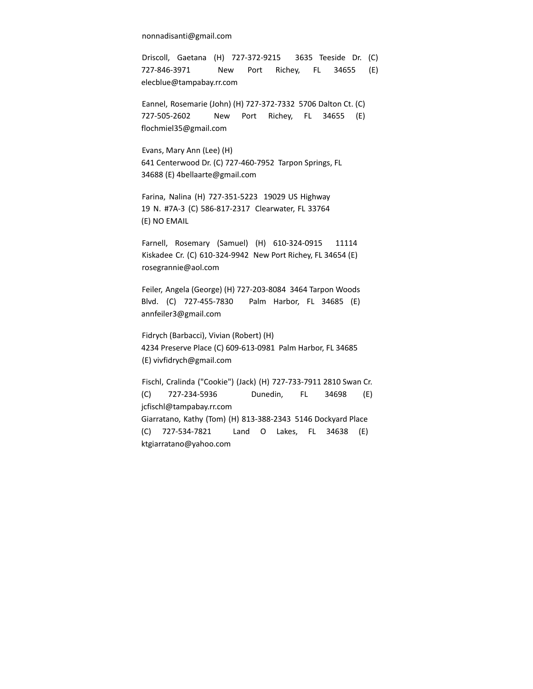nonnadisanti@gmail.com

Driscoll, Gaetana (H) 727-372-9215 3635 Teeside Dr. (C) 727-846-3971 New Port Richey, FL 34655 (E) elecblue@tampabay.rr.com

Eannel, Rosemarie (John) (H) 727-372-7332 5706 Dalton Ct. (C) 727-505-2602 New Port Richey, FL 34655 (E) flochmiel35@gmail.com

Evans, Mary Ann (Lee) (H) 641 Centerwood Dr. (C) 727-460-7952 Tarpon Springs, FL 34688 (E) 4bellaarte@gmail.com

Farina, Nalina (H) 727-351-5223 19029 US Highway 19 N. #7A-3 (C) 586-817-2317 Clearwater, FL 33764 (E) NO EMAIL

Farnell, Rosemary (Samuel) (H) 610-324-0915 11114 Kiskadee Cr. (C) 610-324-9942 New Port Richey, FL 34654 (E) rosegrannie@aol.com

Feiler, Angela (George) (H) 727-203-8084 3464 Tarpon Woods Blvd. (C) 727-455-7830 Palm Harbor, FL 34685 (E) annfeiler3@gmail.com

Fidrych (Barbacci), Vivian (Robert) (H) 4234 Preserve Place (C) 609-613-0981 Palm Harbor, FL 34685 (E) vivfidrych@gmail.com

Fischl, Cralinda ("Cookie") (Jack) (H) 727-733-7911 2810 Swan Cr. (C) 727-234-5936 Dunedin, FL 34698 (E) jcfischl@tampabay.rr.com Giarratano, Kathy (Tom) (H) 813-388-2343 5146 Dockyard Place (C) 727-534-7821 Land O Lakes, FL 34638 (E) ktgiarratano@yahoo.com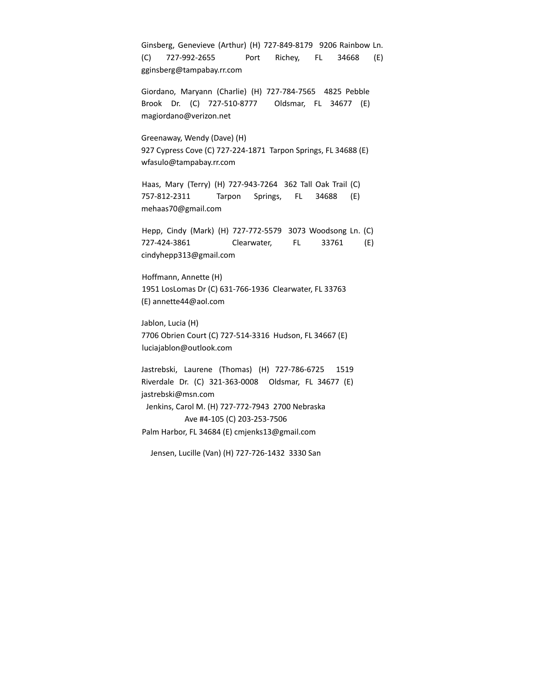Ginsberg, Genevieve (Arthur) (H) 727-849-8179 9206 Rainbow Ln. (C) 727-992-2655 Port Richey, FL 34668 (E) gginsberg@tampabay.rr.com Giordano, Maryann (Charlie) (H) 727-784-7565 4825 Pebble Brook Dr. (C) 727-510-8777 Oldsmar, FL 34677 (E) magiordano@verizon.net Greenaway, Wendy (Dave) (H) 927 Cypress Cove (C) 727-224-1871 Tarpon Springs, FL 34688 (E) wfasulo@tampabay.rr.com Haas, Mary (Terry) (H) 727-943-7264 362 Tall Oak Trail (C) 757-812-2311 Tarpon Springs, FL 34688 (E) mehaas70@gmail.com Hepp, Cindy (Mark) (H) 727-772-5579 3073 Woodsong Ln. (C) 727-424-3861 Clearwater, FL 33761 (E) cindyhepp313@gmail.com Hoffmann, Annette (H) 1951 LosLomas Dr (C) 631-766-1936 Clearwater, FL 33763 (E) annette44@aol.com Jablon, Lucia (H) 7706 Obrien Court (C) 727-514-3316 Hudson, FL 34667 (E) luciajablon@outlook.com Jastrebski, Laurene (Thomas) (H) 727-786-6725 1519 Riverdale Dr. (C) 321-363-0008 Oldsmar, FL 34677 (E) jastrebski@msn.com Jenkins, Carol M. (H) 727-772-7943 2700 Nebraska Ave #4-105 (C) 203-253-7506 Palm Harbor, FL 34684 (E) cmjenks13@gmail.com Jensen, Lucille (Van) (H) 727-726-1432 3330 San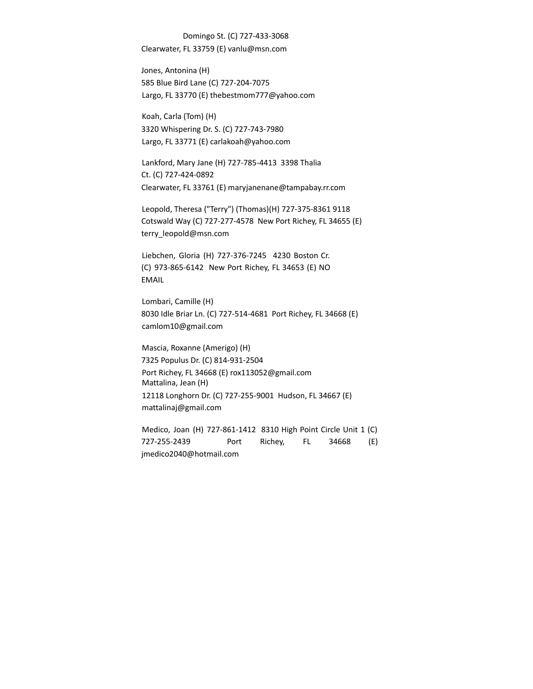Domingo St. (C) 727-433-3068 Clearwater, FL 33759 (E) vanlu@msn.com

Jones, Antonina (H) 585 Blue Bird Lane (C) 727-204-7075 Largo, FL 33770 (E) thebestmom777@yahoo.com

Koah, Carla (Tom) (H) 3320 Whispering Dr. S. (C) 727-743-7980 Largo, FL 33771 (E) carlakoah@yahoo.com

Lankford, Mary Jane (H) 727-785-4413 3398 Thalia Ct. (C) 727-424-0892 Clearwater, FL 33761 (E) maryjanenane@tampabay.rr.com

Leopold, Theresa ("Terry") (Thomas)(H) 727-375-8361 9118 Cotswald Way (C) 727-277-4578 New Port Richey, FL 34655 (E) terry\_leopold@msn.com

Liebchen, Gloria (H) 727-376-7245 4230 Boston Cr. (C) 973-865-6142 New Port Richey, FL 34653 (E) NO EMAIL

Lombari, Camille (H) 8030 Idle Briar Ln. (C) 727-514-4681 Port Richey, FL 34668 (E) camlom10@gmail.com

Mascia, Roxanne (Amerigo) (H) 7325 Populus Dr. (C) 814-931-2504 Port Richey, FL 34668 (E) rox113052@gmail.com Mattalina, Jean (H) 12118 Longhorn Dr. (C) 727-255-9001 Hudson, FL 34667 (E) mattalinaj@gmail.com

Medico, Joan (H) 727-861-1412 8310 High Point Circle Unit 1 (C) 727-255-2439 Port Richey, FL 34668 (E) jmedico2040@hotmail.com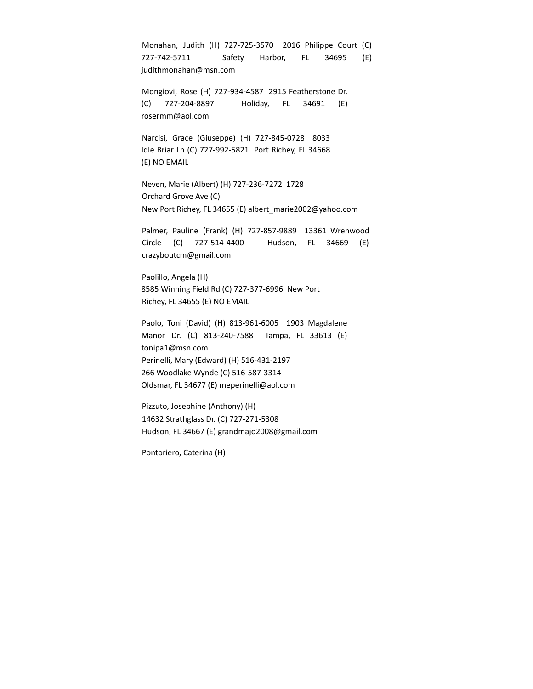Monahan, Judith (H) 727-725-3570 2016 Philippe Court (C) 727-742-5711 Safety Harbor, FL 34695 (E) judithmonahan@msn.com

Mongiovi, Rose (H) 727-934-4587 2915 Featherstone Dr. (C) 727-204-8897 Holiday, FL 34691 (E) rosermm@aol.com

Narcisi, Grace (Giuseppe) (H) 727-845-0728 8033 Idle Briar Ln (C) 727-992-5821 Port Richey, FL 34668 (E) NO EMAIL

Neven, Marie (Albert) (H) 727-236-7272 1728 Orchard Grove Ave (C) New Port Richey, FL 34655 (E) albert\_marie2002@yahoo.com

Palmer, Pauline (Frank) (H) 727-857-9889 13361 Wrenwood Circle (C) 727-514-4400 Hudson, FL 34669 (E) crazyboutcm@gmail.com

Paolillo, Angela (H) 8585 Winning Field Rd (C) 727-377-6996 New Port Richey, FL 34655 (E) NO EMAIL

Paolo, Toni (David) (H) 813-961-6005 1903 Magdalene Manor Dr. (C) 813-240-7588 Tampa, FL 33613 (E) tonipa1@msn.com Perinelli, Mary (Edward) (H) 516-431-2197 266 Woodlake Wynde (C) 516-587-3314 Oldsmar, FL 34677 (E) meperinelli@aol.com

Pizzuto, Josephine (Anthony) (H) 14632 Strathglass Dr. (C) 727-271-5308 Hudson, FL 34667 (E) grandmajo2008@gmail.com

Pontoriero, Caterina (H)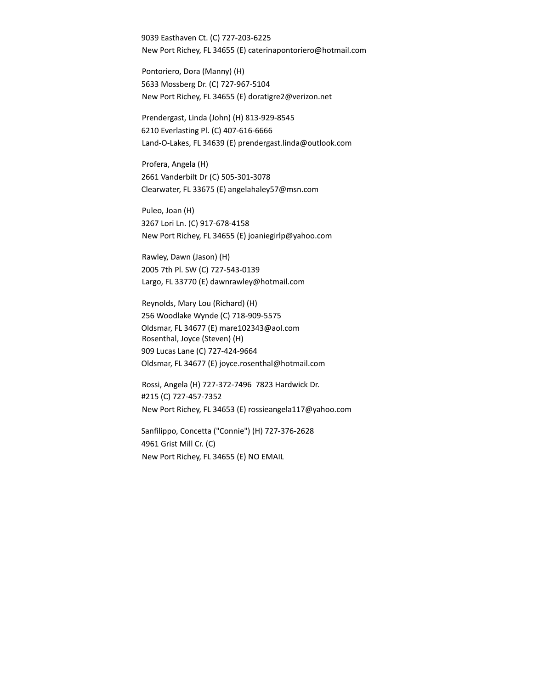9039 Easthaven Ct. (C) 727-203-6225 New Port Richey, FL 34655 (E) caterinapontoriero@hotmail.com

Pontoriero, Dora (Manny) (H) 5633 Mossberg Dr. (C) 727-967-5104 New Port Richey, FL 34655 (E) doratigre2@verizon.net

Prendergast, Linda (John) (H) 813-929-8545 6210 Everlasting Pl. (C) 407-616-6666 Land-O-Lakes, FL 34639 (E) prendergast.linda@outlook.com

Profera, Angela (H) 2661 Vanderbilt Dr (C) 505-301-3078 Clearwater, FL 33675 (E) angelahaley57@msn.com

Puleo, Joan (H) 3267 Lori Ln. (C) 917-678-4158 New Port Richey, FL 34655 (E) joaniegirlp@yahoo.com

Rawley, Dawn (Jason) (H) 2005 7th Pl. SW (C) 727-543-0139 Largo, FL 33770 (E) dawnrawley@hotmail.com

Reynolds, Mary Lou (Richard) (H) 256 Woodlake Wynde (C) 718-909-5575 Oldsmar, FL 34677 (E) mare102343@aol.com Rosenthal, Joyce (Steven) (H) 909 Lucas Lane (C) 727-424-9664 Oldsmar, FL 34677 (E) joyce.rosenthal@hotmail.com

Rossi, Angela (H) 727-372-7496 7823 Hardwick Dr. #215 (C) 727-457-7352 New Port Richey, FL 34653 (E) rossieangela117@yahoo.com

Sanfilippo, Concetta ("Connie") (H) 727-376-2628 4961 Grist Mill Cr. (C) New Port Richey, FL 34655 (E) NO EMAIL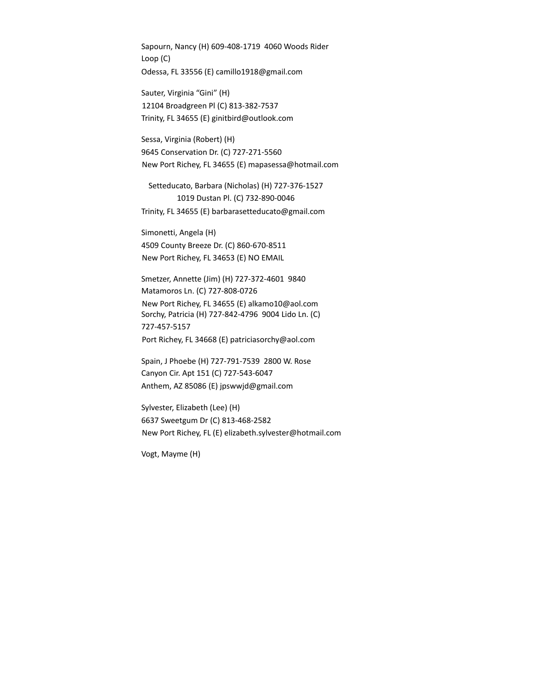Sapourn, Nancy (H) 609-408-1719 4060 Woods Rider Loop (C) Odessa, FL 33556 (E) camillo1918@gmail.com

Sauter, Virginia "Gini" (H) 12104 Broadgreen Pl (C) 813-382-7537 Trinity, FL 34655 (E) ginitbird@outlook.com

Sessa, Virginia (Robert) (H) 9645 Conservation Dr. (C) 727-271-5560 New Port Richey, FL 34655 (E) mapasessa@hotmail.com

Setteducato, Barbara (Nicholas) (H) 727-376-1527 1019 Dustan Pl. (C) 732-890-0046 Trinity, FL 34655 (E) barbarasetteducato@gmail.com

Simonetti, Angela (H) 4509 County Breeze Dr. (C) 860-670-8511 New Port Richey, FL 34653 (E) NO EMAIL

Smetzer, Annette (Jim) (H) 727-372-4601 9840 Matamoros Ln. (C) 727-808-0726 New Port Richey, FL 34655 (E) alkamo10@aol.com Sorchy, Patricia (H) 727-842-4796 9004 Lido Ln. (C) 727-457-5157 Port Richey, FL 34668 (E) patriciasorchy@aol.com

Spain, J Phoebe (H) 727-791-7539 2800 W. Rose Canyon Cir. Apt 151 (C) 727-543-6047 Anthem, AZ 85086 (E) jpswwjd@gmail.com

Sylvester, Elizabeth (Lee) (H) 6637 Sweetgum Dr (C) 813-468-2582 New Port Richey, FL (E) elizabeth.sylvester@hotmail.com

Vogt, Mayme (H)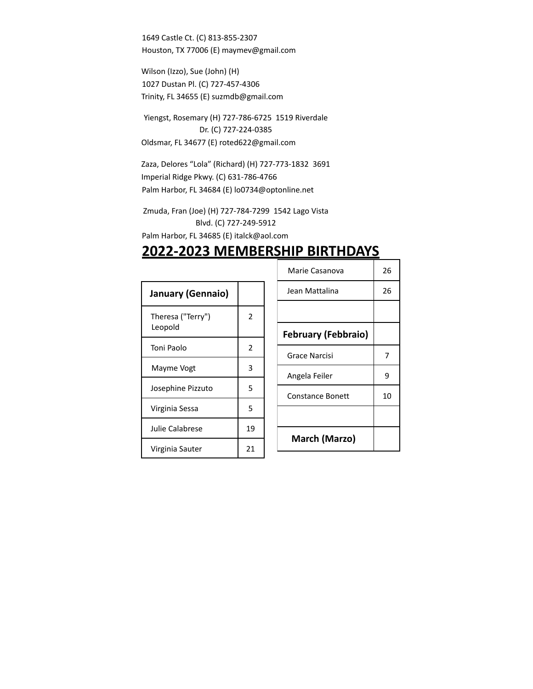1649 Castle Ct. (C) 813-855-2307 Houston, TX 77006 (E) maymev@gmail.com

Wilson (Izzo), Sue (John) (H) 1027 Dustan Pl. (C) 727-457-4306 Trinity, FL 34655 (E) suzmdb@gmail.com

Yiengst, Rosemary (H) 727-786-6725 1519 Riverdale Dr. (C) 727-224-0385 Oldsmar, FL 34677 (E) roted622@gmail.com

Zaza, Delores "Lola" (Richard) (H) 727-773-1832 3691 Imperial Ridge Pkwy. (C) 631-786-4766 Palm Harbor, FL 34684 (E) lo0734@optonline.net

Zmuda, Fran (Joe) (H) 727-784-7299 1542 Lago Vista Blvd. (C) 727-249-5912

Palm Harbor, FL 34685 (E) italck@aol.com

### **2022-2023 MEMBERSHIP BIRTHDAYS**

| <b>January (Gennaio)</b>     |    |
|------------------------------|----|
| Theresa ("Terry")<br>Leopold | 2  |
| Toni Paolo                   | 2  |
| Mayme Vogt                   | 3  |
| Josephine Pizzuto            | 5  |
| Virginia Sessa               | 5  |
| Julie Calabrese              | 19 |
| Virginia Sauter              | 21 |

| Marie Casanova             | 26 |
|----------------------------|----|
| Jean Mattalina             | 26 |
|                            |    |
| <b>February (Febbraio)</b> |    |
| Grace Narcisi              | 7  |
| Angela Feiler              | 9  |
| Constance Bonett           | 10 |
|                            |    |
| March (Marzo)              |    |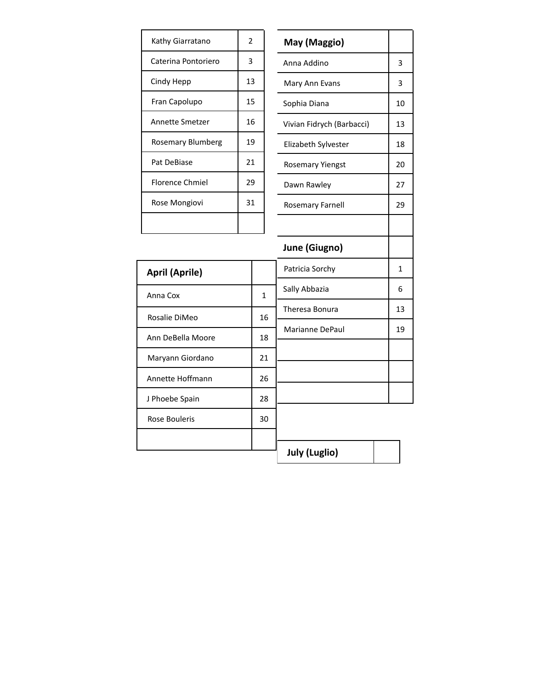| Kathy Giarratano    | 2  |
|---------------------|----|
| Caterina Pontoriero | 3  |
| Cindy Hepp          | 13 |
| Fran Capolupo       | 15 |
| Annette Smetzer     | 16 |
| Rosemary Blumberg   | 19 |
| Pat DeBiase         | 21 |
| Florence Chmiel     | 29 |
| Rose Mongiovi       | 31 |
|                     |    |

| Kathy Giarratano       | $\overline{2}$ |    | May (Maggio)              |    |
|------------------------|----------------|----|---------------------------|----|
| Caterina Pontoriero    | 3              |    | Anna Addino               | 3  |
| Cindy Hepp             | 13             |    | Mary Ann Evans            | 3  |
| Fran Capolupo          | 15             |    | Sophia Diana              | 10 |
| <b>Annette Smetzer</b> | 16             |    | Vivian Fidrych (Barbacci) | 13 |
| Rosemary Blumberg      | 19             |    | Elizabeth Sylvester       | 18 |
| Pat DeBiase            | 21             |    | <b>Rosemary Yiengst</b>   | 20 |
| <b>Florence Chmiel</b> | 29             |    | Dawn Rawley               | 27 |
| Rose Mongiovi          | 31             |    | <b>Rosemary Farnell</b>   | 29 |
|                        |                |    |                           |    |
|                        |                |    | June (Giugno)             |    |
| <b>April (Aprile)</b>  |                |    | Patricia Sorchy           | 1  |
| Anna Cox               |                | 1  | Sally Abbazia             | 6  |
| Rosalie DiMeo          |                | 16 | Theresa Bonura            | 13 |
| Ann DeBella Moore      |                | 18 | Marianne DePaul           | 19 |
|                        |                | 21 |                           |    |
| Maryann Giordano       |                |    |                           |    |
| Annette Hoffmann       |                | 26 |                           |    |
| J Phoebe Spain         |                | 28 |                           |    |
| <b>Rose Bouleris</b>   |                | 30 |                           |    |
|                        |                |    |                           |    |

**July (Luglio)**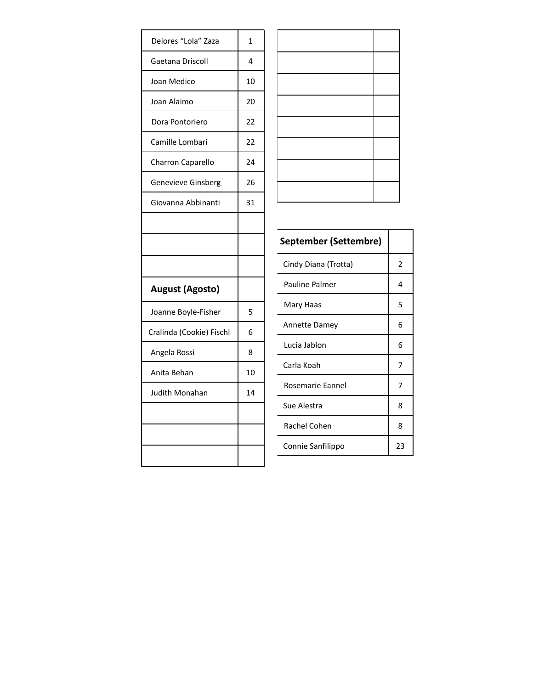| Delores "Lola" Zaza      | $\mathbf{1}$ |
|--------------------------|--------------|
| Gaetana Driscoll         | 4            |
| Joan Medico              | 10           |
| Joan Alaimo              | 20           |
| Dora Pontoriero          | 22           |
| Camille Lombari          | 22           |
| Charron Caparello        | 24           |
| Genevieve Ginsberg       | 26           |
| Giovanna Abbinanti       | 31           |
|                          |              |
|                          |              |
|                          |              |
| <b>August (Agosto)</b>   |              |
| Joanne Boyle-Fisher      | 5            |
| Cralinda (Cookie) Fischl | 6            |
| Angela Rossi             | 8            |
| Anita Behan              | 10           |
| <b>Judith Monahan</b>    | 14           |
|                          |              |
|                          |              |
|                          |              |

| <b>September (Settembre)</b> |    |
|------------------------------|----|
| Cindy Diana (Trotta)         | 2  |
| <b>Pauline Palmer</b>        | 4  |
| Mary Haas                    | 5  |
| <b>Annette Damey</b>         | 6  |
| Lucia Jablon                 | 6  |
| Carla Koah                   | 7  |
| Rosemarie Eannel             | 7  |
| Sue Alestra                  | 8  |
| Rachel Cohen                 | 8  |
| Connie Sanfilippo            | 23 |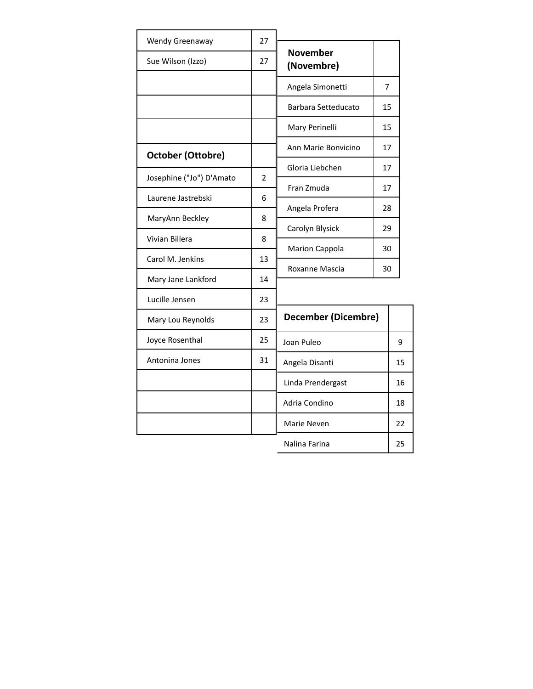| Wendy Greenaway          | 27                       |                               |    |    |
|--------------------------|--------------------------|-------------------------------|----|----|
| Sue Wilson (Izzo)        | 27                       | <b>November</b><br>(Novembre) |    |    |
|                          |                          | Angela Simonetti              | 7  |    |
|                          |                          | Barbara Setteducato           | 15 |    |
|                          |                          | Mary Perinelli                | 15 |    |
| <b>October (Ottobre)</b> |                          | Ann Marie Bonvicino           | 17 |    |
|                          |                          | Gloria Liebchen               | 17 |    |
| Josephine ("Jo") D'Amato | $\overline{\phantom{a}}$ | Fran Zmuda                    | 17 |    |
| Laurene Jastrebski       | 6                        | Angela Profera                | 28 |    |
| MaryAnn Beckley          | 8                        | Carolyn Blysick               | 29 |    |
| Vivian Billera           | 8                        |                               |    |    |
| Carol M. Jenkins         | 13                       | <b>Marion Cappola</b>         | 30 |    |
| Mary Jane Lankford       | 14                       | Roxanne Mascia                | 30 |    |
| Lucille Jensen           | 23                       |                               |    |    |
| Mary Lou Reynolds        | 23                       | <b>December (Dicembre)</b>    |    |    |
| Joyce Rosenthal          | 25                       | Joan Puleo                    |    | 9  |
| Antonina Jones           | 31                       | Angela Disanti                |    | 15 |
|                          |                          | Linda Prendergast             |    | 16 |
|                          |                          | Adria Condino                 |    | 18 |
|                          |                          | Marie Neven                   |    | 22 |
|                          |                          | Nalina Farina                 |    | 25 |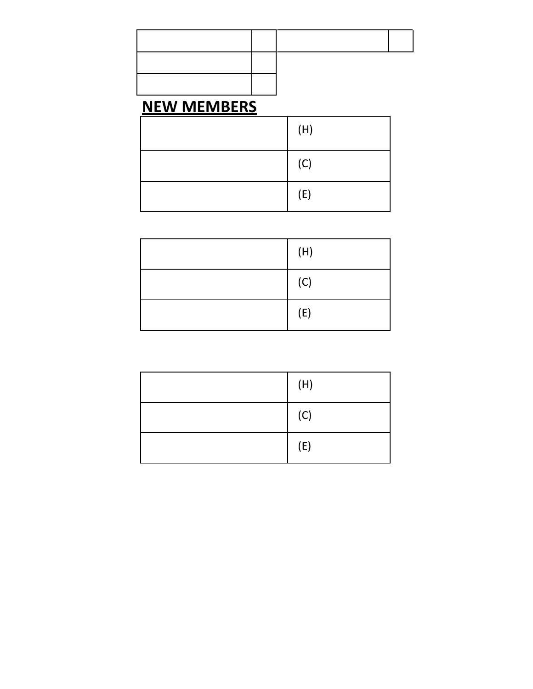### **NEW MEMBERS**

| (H) |
|-----|
| (C) |
| (E) |

| (H) |
|-----|
| (C) |
| (E) |

| (H) |
|-----|
| (C) |
| (E) |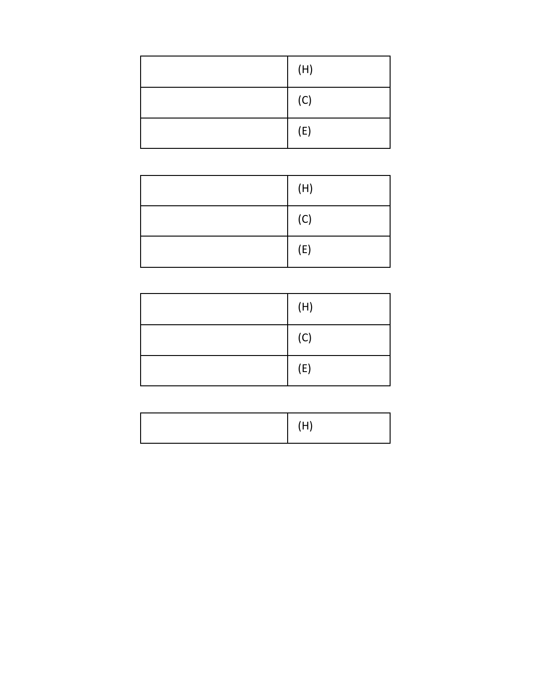| (H) |
|-----|
| (C) |
| (E) |

| (H) |
|-----|
| (C) |
| (E) |

| (H) |
|-----|
| (C) |
| (E) |

|--|--|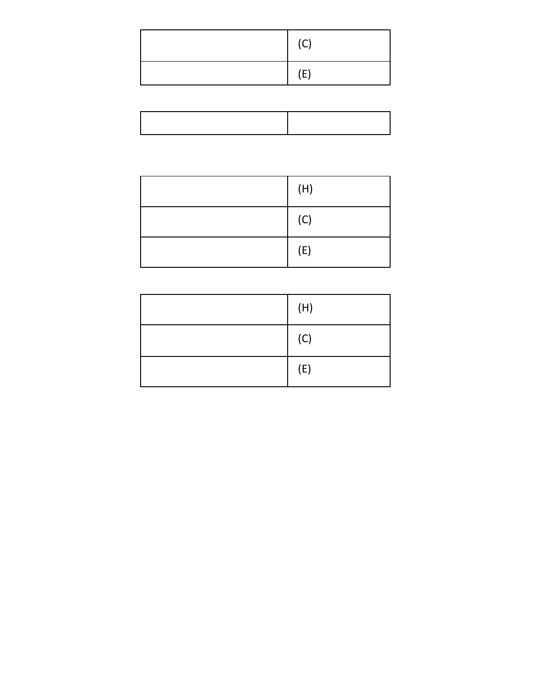| (C) |
|-----|
| (E) |

| (H) |
|-----|
| (C) |
| (E) |

| (H) |
|-----|
| (C) |
| (E) |